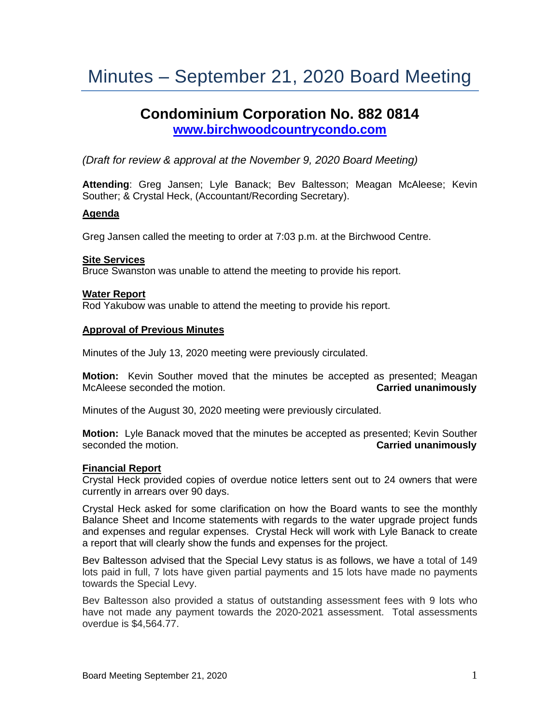# Minutes – September 21, 2020 Board Meeting

## **Condominium Corporation No. 882 0814 [www.birchwoodcountrycondo.com](http://www.birchwoodcountrycondo.com/)**

*(Draft for review & approval at the November 9, 2020 Board Meeting)*

**Attending**: Greg Jansen; Lyle Banack; Bev Baltesson; Meagan McAleese; Kevin Souther; & Crystal Heck, (Accountant/Recording Secretary).

## **Agenda**

Greg Jansen called the meeting to order at 7:03 p.m. at the Birchwood Centre.

## **Site Services**

Bruce Swanston was unable to attend the meeting to provide his report.

#### **Water Report**

Rod Yakubow was unable to attend the meeting to provide his report.

#### **Approval of Previous Minutes**

Minutes of the July 13, 2020 meeting were previously circulated.

**Motion:** Kevin Souther moved that the minutes be accepted as presented; Meagan McAleese seconded the motion. **Carried unanimously**

Minutes of the August 30, 2020 meeting were previously circulated.

**Motion:** Lyle Banack moved that the minutes be accepted as presented; Kevin Souther seconded the motion. **Carried unanimously**

#### **Financial Report**

Crystal Heck provided copies of overdue notice letters sent out to 24 owners that were currently in arrears over 90 days.

Crystal Heck asked for some clarification on how the Board wants to see the monthly Balance Sheet and Income statements with regards to the water upgrade project funds and expenses and regular expenses. Crystal Heck will work with Lyle Banack to create a report that will clearly show the funds and expenses for the project.

Bev Baltesson advised that the Special Levy status is as follows, we have a total of 149 lots paid in full, 7 lots have given partial payments and 15 lots have made no payments towards the Special Levy.

Bev Baltesson also provided a status of outstanding assessment fees with 9 lots who have not made any payment towards the 2020-2021 assessment. Total assessments overdue is \$4,564.77.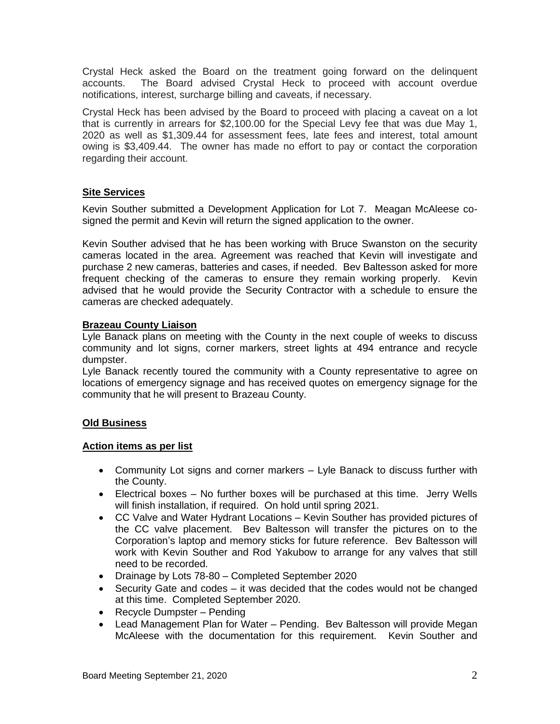Crystal Heck asked the Board on the treatment going forward on the delinquent accounts. The Board advised Crystal Heck to proceed with account overdue notifications, interest, surcharge billing and caveats, if necessary.

Crystal Heck has been advised by the Board to proceed with placing a caveat on a lot that is currently in arrears for \$2,100.00 for the Special Levy fee that was due May 1, 2020 as well as \$1,309.44 for assessment fees, late fees and interest, total amount owing is \$3,409.44. The owner has made no effort to pay or contact the corporation regarding their account.

## **Site Services**

Kevin Souther submitted a Development Application for Lot 7. Meagan McAleese cosigned the permit and Kevin will return the signed application to the owner.

Kevin Souther advised that he has been working with Bruce Swanston on the security cameras located in the area. Agreement was reached that Kevin will investigate and purchase 2 new cameras, batteries and cases, if needed. Bev Baltesson asked for more frequent checking of the cameras to ensure they remain working properly. Kevin advised that he would provide the Security Contractor with a schedule to ensure the cameras are checked adequately.

## **Brazeau County Liaison**

Lyle Banack plans on meeting with the County in the next couple of weeks to discuss community and lot signs, corner markers, street lights at 494 entrance and recycle dumpster.

Lyle Banack recently toured the community with a County representative to agree on locations of emergency signage and has received quotes on emergency signage for the community that he will present to Brazeau County.

## **Old Business**

## **Action items as per list**

- Community Lot signs and corner markers Lyle Banack to discuss further with the County.
- Electrical boxes No further boxes will be purchased at this time. Jerry Wells will finish installation, if required. On hold until spring 2021.
- CC Valve and Water Hydrant Locations Kevin Souther has provided pictures of the CC valve placement. Bev Baltesson will transfer the pictures on to the Corporation's laptop and memory sticks for future reference. Bev Baltesson will work with Kevin Souther and Rod Yakubow to arrange for any valves that still need to be recorded.
- Drainage by Lots 78-80 Completed September 2020
- Security Gate and codes it was decided that the codes would not be changed at this time. Completed September 2020.
- Recycle Dumpster Pending
- Lead Management Plan for Water Pending. Bev Baltesson will provide Megan McAleese with the documentation for this requirement. Kevin Souther and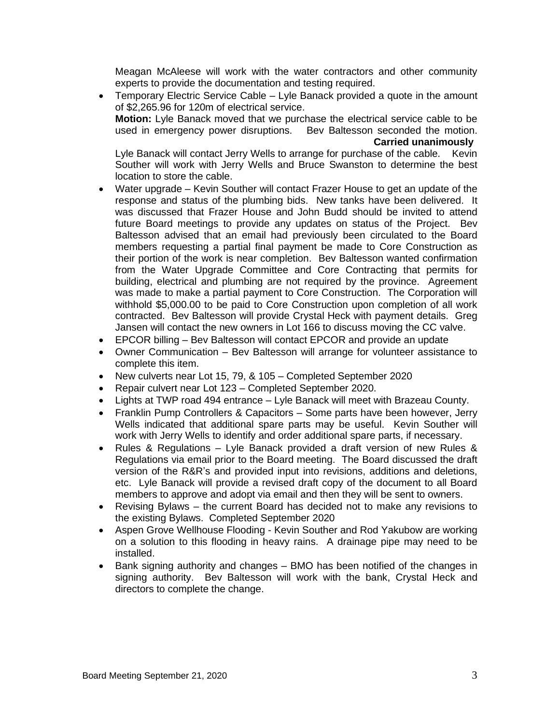Meagan McAleese will work with the water contractors and other community experts to provide the documentation and testing required.

• Temporary Electric Service Cable – Lyle Banack provided a quote in the amount of \$2,265.96 for 120m of electrical service. **Motion:** Lyle Banack moved that we purchase the electrical service cable to be used in emergency power disruptions. Bev Baltesson seconded the motion.

#### **Carried unanimously**

Lyle Banack will contact Jerry Wells to arrange for purchase of the cable. Kevin Souther will work with Jerry Wells and Bruce Swanston to determine the best location to store the cable.

- Water upgrade Kevin Souther will contact Frazer House to get an update of the response and status of the plumbing bids. New tanks have been delivered. It was discussed that Frazer House and John Budd should be invited to attend future Board meetings to provide any updates on status of the Project. Bev Baltesson advised that an email had previously been circulated to the Board members requesting a partial final payment be made to Core Construction as their portion of the work is near completion. Bev Baltesson wanted confirmation from the Water Upgrade Committee and Core Contracting that permits for building, electrical and plumbing are not required by the province. Agreement was made to make a partial payment to Core Construction. The Corporation will withhold \$5,000.00 to be paid to Core Construction upon completion of all work contracted. Bev Baltesson will provide Crystal Heck with payment details. Greg Jansen will contact the new owners in Lot 166 to discuss moving the CC valve.
- EPCOR billing Bev Baltesson will contact EPCOR and provide an update
- Owner Communication Bev Baltesson will arrange for volunteer assistance to complete this item.
- New culverts near Lot 15, 79, & 105 Completed September 2020
- Repair culvert near Lot 123 Completed September 2020.
- Lights at TWP road 494 entrance Lyle Banack will meet with Brazeau County.
- Franklin Pump Controllers & Capacitors Some parts have been however, Jerry Wells indicated that additional spare parts may be useful. Kevin Souther will work with Jerry Wells to identify and order additional spare parts, if necessary.
- Rules & Regulations Lyle Banack provided a draft version of new Rules & Regulations via email prior to the Board meeting. The Board discussed the draft version of the R&R's and provided input into revisions, additions and deletions, etc. Lyle Banack will provide a revised draft copy of the document to all Board members to approve and adopt via email and then they will be sent to owners.
- Revising Bylaws the current Board has decided not to make any revisions to the existing Bylaws. Completed September 2020
- Aspen Grove Wellhouse Flooding Kevin Souther and Rod Yakubow are working on a solution to this flooding in heavy rains. A drainage pipe may need to be installed.
- Bank signing authority and changes BMO has been notified of the changes in signing authority. Bev Baltesson will work with the bank, Crystal Heck and directors to complete the change.